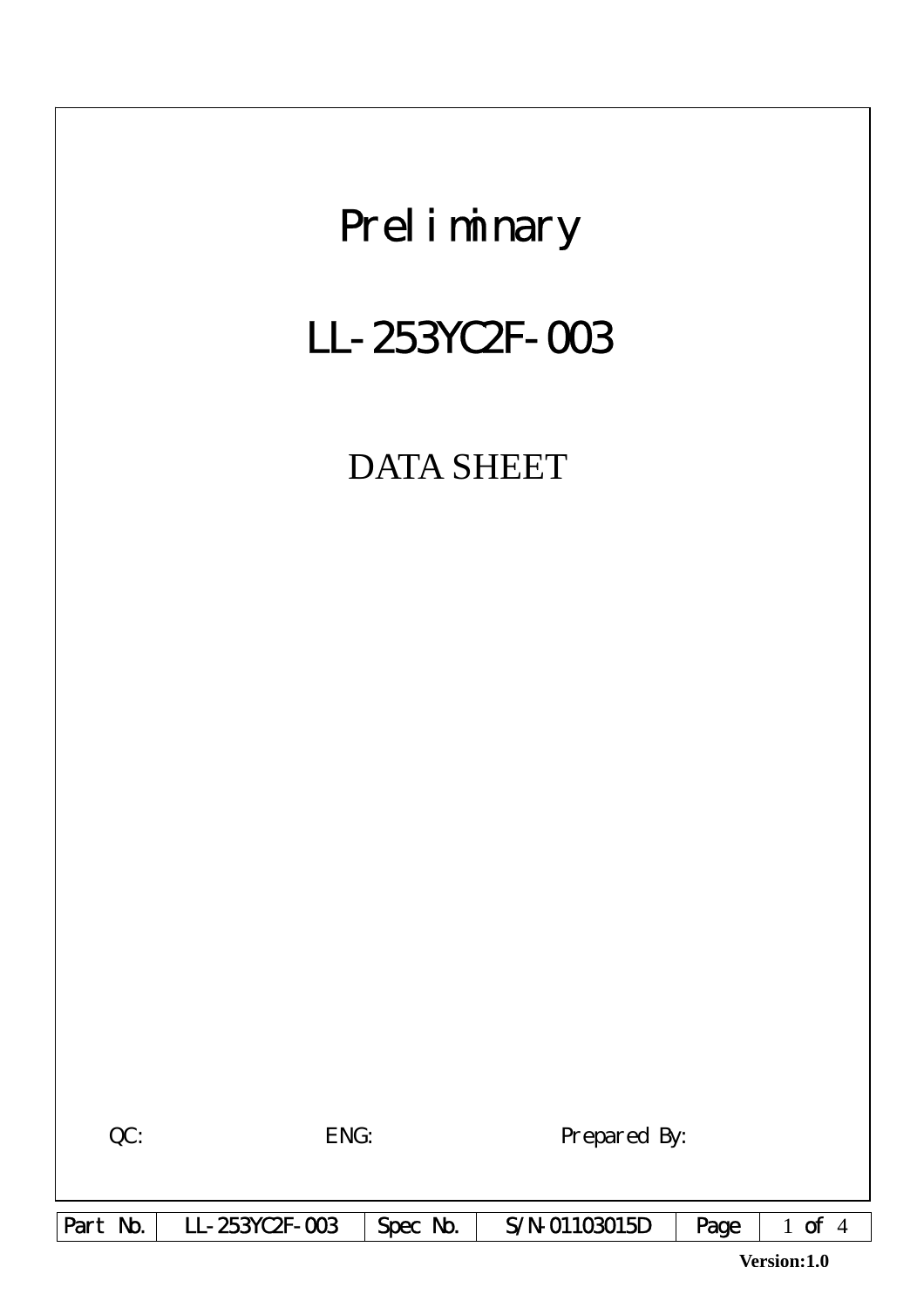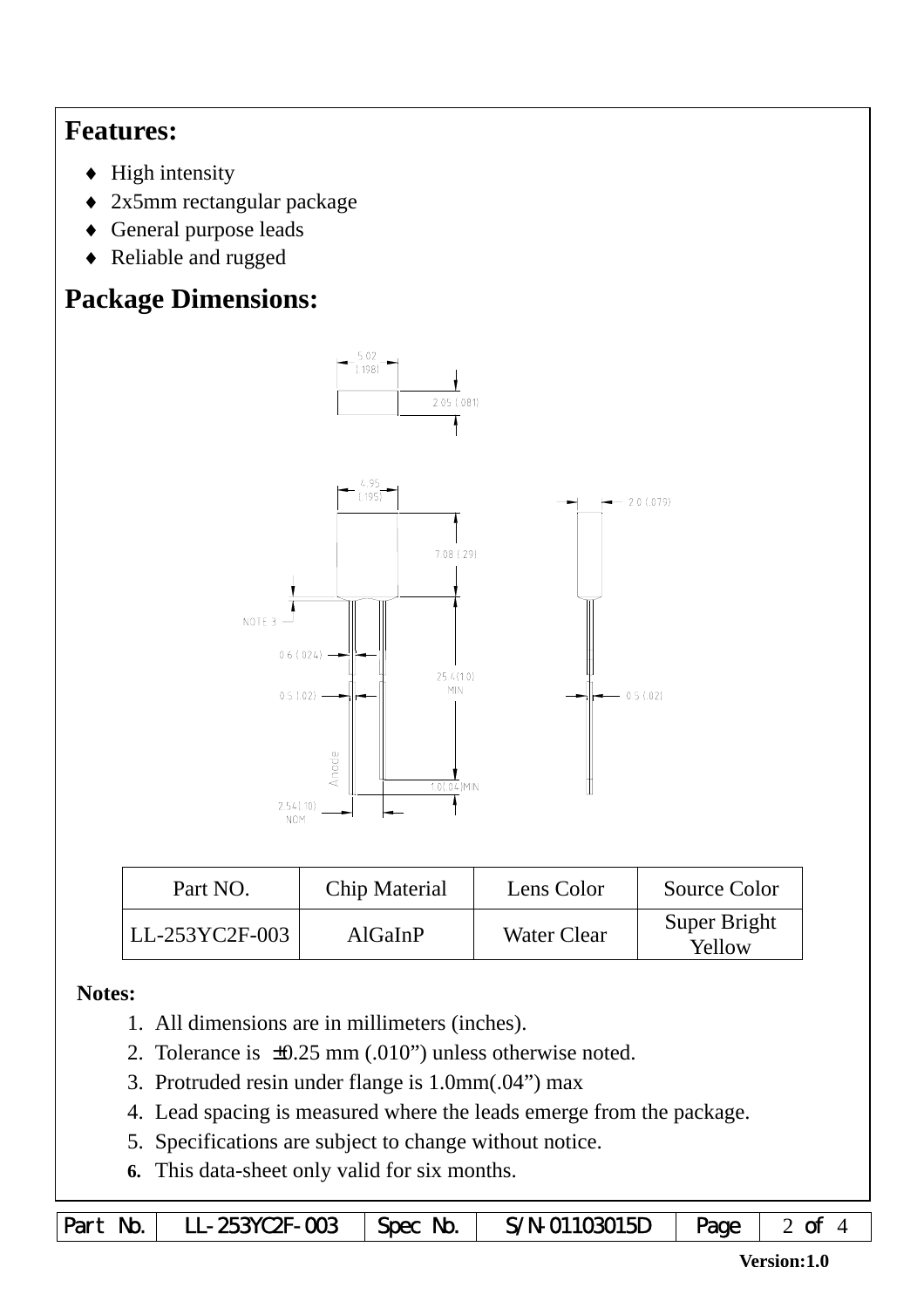## **Features:**

- $\blacklozenge$  High intensity
- ♦ 2x5mm rectangular package
- ♦ General purpose leads
- ♦ Reliable and rugged

# **Package Dimensions:**



| Part NO.       | <b>Chip Material</b> | Lens Color         | Source Color           |
|----------------|----------------------|--------------------|------------------------|
| LL-253YC2F-003 | AlGaInP              | <b>Water Clear</b> | Super Bright<br>Yellow |

### **Notes:**

- 1. All dimensions are in millimeters (inches).
- 2. Tolerance is ±0.25 mm (.010") unless otherwise noted.
- 3. Protruded resin under flange is 1.0mm(.04") max
- 4. Lead spacing is measured where the leads emerge from the package.
- 5. Specifications are subject to change without notice.
- **6.** This data-sheet only valid for six months.

|  | Part No.   LL-253YC2F-003   Spec No. |  | $S/N$ -01103015D $\vert$ Page $\vert$ 2 of |  |  |
|--|--------------------------------------|--|--------------------------------------------|--|--|
|--|--------------------------------------|--|--------------------------------------------|--|--|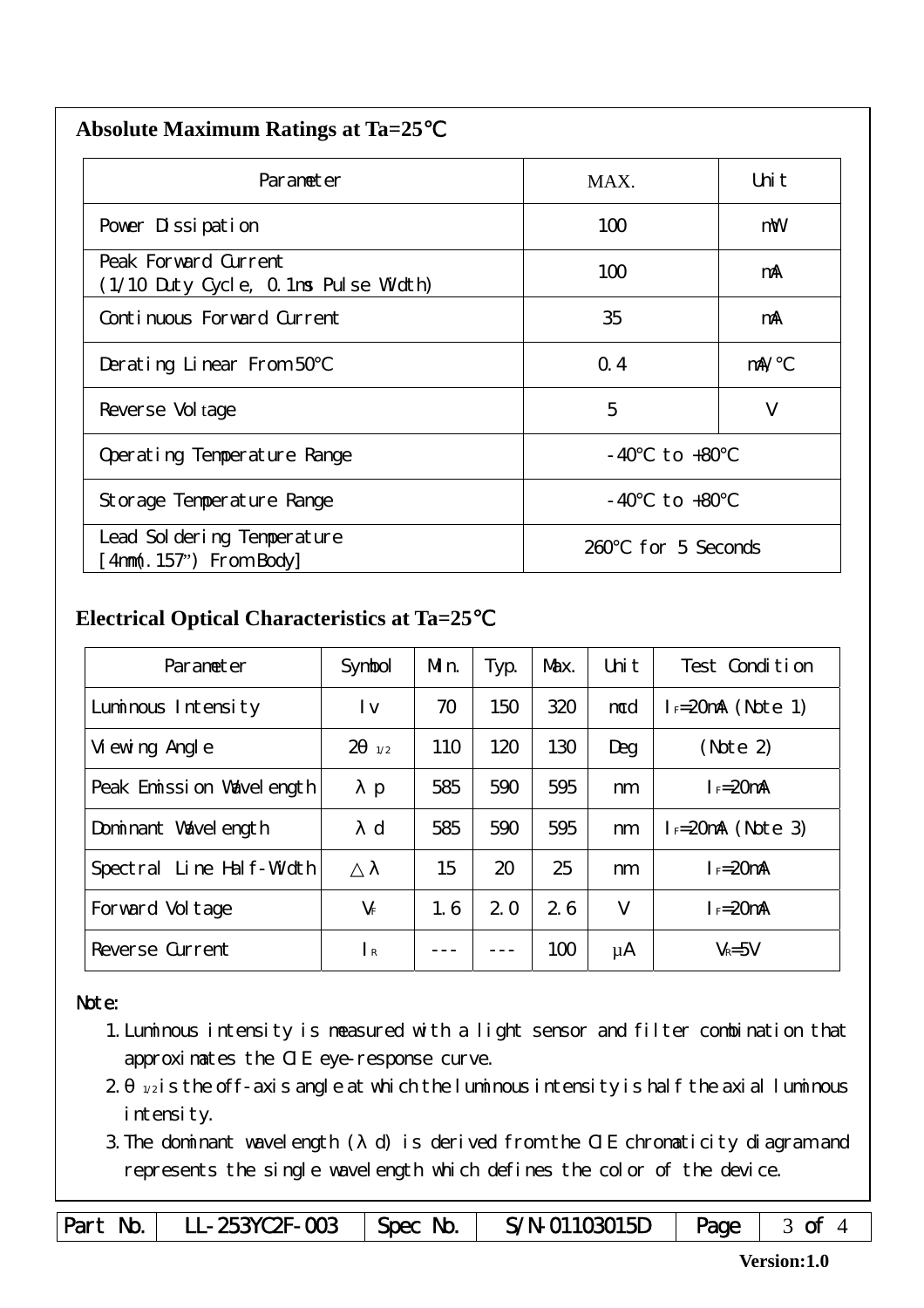| <b>Absolute Maximum Ratings at Ta=25</b> |  |
|------------------------------------------|--|
|                                          |  |

| Parameter                                                    | MAX.                  | Uni t      |
|--------------------------------------------------------------|-----------------------|------------|
| Pover Dissipation                                            | 100                   | mW         |
| Peak Forward Current<br>(1/10 Duty Cycle, 0.1ms Pulse Width) | 100                   | mA         |
| Continuous Forward Current                                   | 35                    | mA         |
| Derating Linear From 50                                      | Q.4                   | $m\lambda$ |
| Reverse Vol tage                                             | 5                     | V          |
| Operating Temperature Range                                  | to +80<br>- 40        |            |
| Storage Temperature Range                                    | $-40$ to $+80$        |            |
| Lead Sol dering Temperature<br>$4mm(.157")$ From Body        | for 5 Seconds<br>260. |            |

#### **Electrical Optical Characteristics at Ta=25**℃

| Parameter                   | Symbol                | Mn. | Typ. | Max. | Uni t | Test Condition      |
|-----------------------------|-----------------------|-----|------|------|-------|---------------------|
| Luminous Intensity          | l v                   | 70  | 150  | 320  | mcd   | $I = 20mA$ (Note 1) |
| Vi ewing Angl e             | $\overline{2}$<br>1/2 | 110 | 120  | 130  | Deg   | (Note 2)            |
| Peak Emission Wavelength    | $\mathbf{p}$          | 585 | 590  | 595  | nm    | $I_F = 20$ mA       |
| Dominant Wavelength         | $\mathbf d$           | 585 | 590  | 595  | nm    | $I = 20mA$ (Note 3) |
| Line Half-Width<br>Spectral |                       | 15  | 20   | 25   | nm    | $I_F = 20$ mA       |
| Forward Voltage             | $V_F$                 | 1.6 | 2.0  | 26   | V     | $I_F=20$ mA         |
| Reverse Current             | $\mathsf{R}$          |     |      | 100  | μA    | $V_R = 5V$          |

#### Note:

- 1.Luminous intensity is measured with a light sensor and filter combination that approximates the CIE eye-response curve.
- $2 1/2$  is the off-axis angle at which the luminous intensity is half the axial luminous i ntensity.
- 3.The dominant wavelength ( d) is derived from the CIE chromaticity diagram and represents the single wavelength which defines the color of the device.

Part No. | LL-253YC2F-003 | Spec No. | S/N-01103015D | Page | 3 of 4